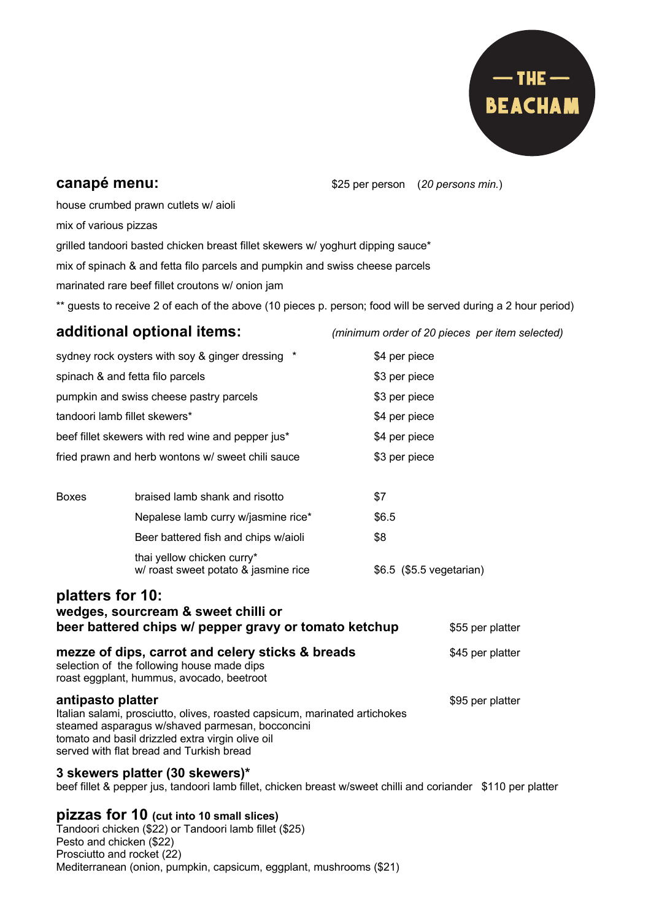

## **canapé menu:**  $$25$  per person (20 persons min.)

house crumbed prawn cutlets w/ aioli

mix of various pizzas

grilled tandoori basted chicken breast fillet skewers w/ yoghurt dipping sauce\*

mix of spinach & and fetta filo parcels and pumpkin and swiss cheese parcels

marinated rare beef fillet croutons w/ onion jam

\*\* guests to receive 2 of each of the above (10 pieces p. person; food will be served during a 2 hour period)

## **additional optional items:** *(minimum order of 20 pieces per item selected)*

| sydney rock oysters with soy & ginger dressing *                                                                                                                                                                                                   |                                                                                                                                                                                                                                                                                                                                    | \$4 per piece            |                  |
|----------------------------------------------------------------------------------------------------------------------------------------------------------------------------------------------------------------------------------------------------|------------------------------------------------------------------------------------------------------------------------------------------------------------------------------------------------------------------------------------------------------------------------------------------------------------------------------------|--------------------------|------------------|
| spinach & and fetta filo parcels                                                                                                                                                                                                                   |                                                                                                                                                                                                                                                                                                                                    | \$3 per piece            |                  |
| pumpkin and swiss cheese pastry parcels                                                                                                                                                                                                            |                                                                                                                                                                                                                                                                                                                                    | \$3 per piece            |                  |
| tandoori lamb fillet skewers*                                                                                                                                                                                                                      |                                                                                                                                                                                                                                                                                                                                    | \$4 per piece            |                  |
| beef fillet skewers with red wine and pepper jus*                                                                                                                                                                                                  |                                                                                                                                                                                                                                                                                                                                    | \$4 per piece            |                  |
| fried prawn and herb wontons w/ sweet chili sauce                                                                                                                                                                                                  |                                                                                                                                                                                                                                                                                                                                    | \$3 per piece            |                  |
| <b>Boxes</b>                                                                                                                                                                                                                                       | braised lamb shank and risotto                                                                                                                                                                                                                                                                                                     | \$7                      |                  |
|                                                                                                                                                                                                                                                    | Nepalese lamb curry w/jasmine rice*                                                                                                                                                                                                                                                                                                | \$6.5                    |                  |
|                                                                                                                                                                                                                                                    | Beer battered fish and chips w/aioli                                                                                                                                                                                                                                                                                               | \$8                      |                  |
|                                                                                                                                                                                                                                                    | thai yellow chicken curry*<br>w/ roast sweet potato & jasmine rice                                                                                                                                                                                                                                                                 | \$6.5 (\$5.5 vegetarian) |                  |
| platters for 10:<br>wedges, sourcream & sweet chilli or<br>beer battered chips w/ pepper gravy or tomato ketchup                                                                                                                                   |                                                                                                                                                                                                                                                                                                                                    |                          | \$55 per platter |
| mezze of dips, carrot and celery sticks & breads<br>selection of the following house made dips<br>roast eggplant, hummus, avocado, beetroot                                                                                                        |                                                                                                                                                                                                                                                                                                                                    |                          | \$45 per platter |
| antipasto platter<br>Italian salami, prosciutto, olives, roasted capsicum, marinated artichokes<br>steamed asparagus w/shaved parmesan, bocconcini<br>tomato and basil drizzled extra virgin olive oil<br>served with flat bread and Turkish bread |                                                                                                                                                                                                                                                                                                                                    |                          | \$95 per platter |
|                                                                                                                                                                                                                                                    | 3 skewers platter (30 skewers)*<br>beef fillet & pepper jus, tandoori lamb fillet, chicken breast w/sweet chilli and coriander \$110 per platter                                                                                                                                                                                   |                          |                  |
|                                                                                                                                                                                                                                                    | $\mathbf{f}$ $\mathbf{f}$ $\mathbf{f}$ $\mathbf{f}$ $\mathbf{f}$ $\mathbf{f}$ $\mathbf{f}$ $\mathbf{f}$ $\mathbf{f}$ $\mathbf{f}$ $\mathbf{f}$ $\mathbf{f}$ $\mathbf{f}$ $\mathbf{f}$ $\mathbf{f}$ $\mathbf{f}$ $\mathbf{f}$ $\mathbf{f}$ $\mathbf{f}$ $\mathbf{f}$ $\mathbf{f}$ $\mathbf{f}$ $\mathbf{f}$ $\mathbf{f}$ $\mathbf{$ |                          |                  |

## **pizzas for 10 (cut into 10 small slices)**

Tandoori chicken (\$22) or Tandoori lamb fillet (\$25) Pesto and chicken (\$22) Prosciutto and rocket (22) Mediterranean (onion, pumpkin, capsicum, eggplant, mushrooms (\$21)